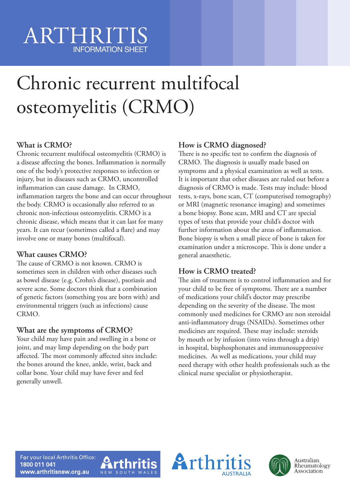# ARTHRITIS INFORMATION SHEET

# Chronic recurrent multifocal osteomyelitis (CRMO)

# **What is CRMO?**

Chronic recurrent multifocal osteomyelitis (CRMO) is a disease affecting the bones. Inflammation is normally one of the body's protective responses to infection or injury, but in diseases such as CRMO, uncontrolled inflammation can cause damage. In CRMO, inflammation targets the bone and can occur throughout the body. CRMO is occasionally also referred to as chronic non-infectious osteomyelitis. CRMO is a chronic disease, which means that it can last for many years. It can recur (sometimes called a flare) and may involve one or many bones (multifocal).

## **What causes CRMO?**

The cause of CRMO is not known. CRMO is sometimes seen in children with other diseases such as bowel disease (e.g. Crohn's disease), psoriasis and severe acne. Some doctors think that a combination of genetic factors (something you are born with) and environmental triggers (such as infections) cause CRMO.

#### **What are the symptoms of CRMO?**

Your child may have pain and swelling in a bone or joint, and may limp depending on the body part affected. The most commonly affected sites include: the bones around the knee, ankle, wrist, back and collar bone. Your child may have fever and feel generally unwell.

## **How is CRMO diagnosed?**

There is no specific test to confirm the diagnosis of CRMO. The diagnosis is usually made based on symptoms and a physical examination as well as tests. It is important that other diseases are ruled out before a diagnosis of CRMO is made. Tests may include: blood tests, x-rays, bone scan, CT (computerised tomography) or MRI (magnetic resonance imaging) and sometimes a bone biopsy. Bone scan, MRI and CT are special types of tests that provide your child's doctor with further information about the areas of inflammation. Bone biopsy is when a small piece of bone is taken for examination under a microscope. This is done under a general anaesthetic.

## **How is CRMO treated?**

The aim of treatment is to control inflammation and for your child to be free of symptoms. There are a number of medications your child's doctor may prescribe depending on the severity of the disease. The most commonly used medicines for CRMO are non steroidal anti-inflammatory drugs (NSAIDs). Sometimes other medicines are required. These may include: steroids by mouth or by infusion (into veins through a drip) in hospital, bisphosphonates and immunosuppressive medicines. As well as medications, your child may need therapy with other health professionals such as the clinical nurse specialist or physiotherapist.

For your local Arthritis Office: 1800 011 041 www.arthritisnsw.org.au